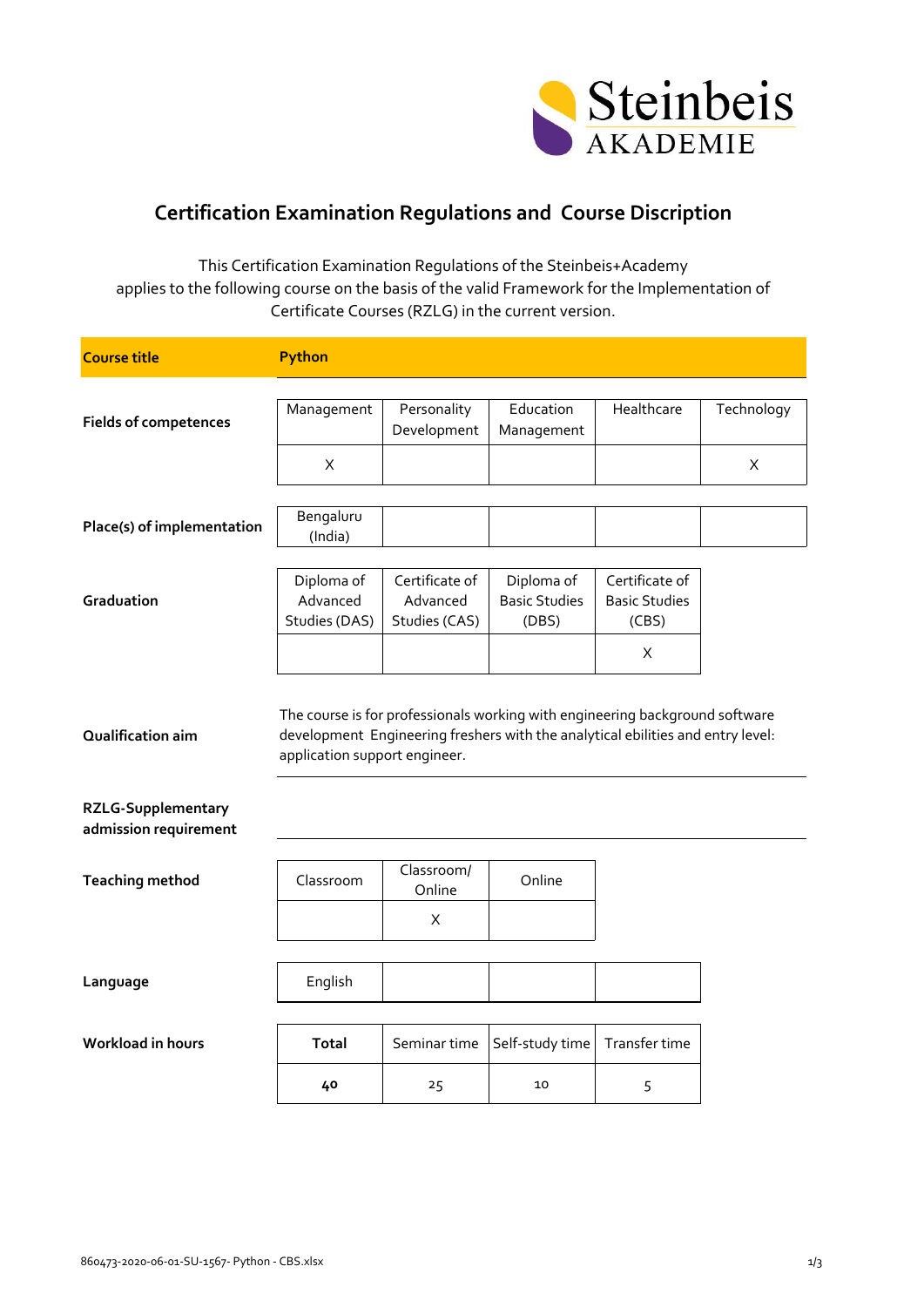

## **Certification Examination Regulations and Course Discription**

This Certification Examination Regulations of the Steinbeis+Academy applies to the following course on the basis of the valid Framework for the Implementation of Certificate Courses (RZLG) in the current version.

| <b>Course title</b>                                                     | Python                                  |                                             |                                                                                                                                                                 |                                                 |            |
|-------------------------------------------------------------------------|-----------------------------------------|---------------------------------------------|-----------------------------------------------------------------------------------------------------------------------------------------------------------------|-------------------------------------------------|------------|
|                                                                         |                                         |                                             |                                                                                                                                                                 |                                                 |            |
| <b>Fields of competences</b>                                            | Management                              | Personality<br>Development                  | Education<br>Management                                                                                                                                         | Healthcare                                      | Technology |
|                                                                         | X                                       |                                             |                                                                                                                                                                 |                                                 | X          |
| Place(s) of implementation                                              | Bengaluru<br>(India)                    |                                             |                                                                                                                                                                 |                                                 |            |
| Graduation                                                              | Diploma of<br>Advanced<br>Studies (DAS) | Certificate of<br>Advanced<br>Studies (CAS) | Diploma of<br><b>Basic Studies</b><br>(DBS)                                                                                                                     | Certificate of<br><b>Basic Studies</b><br>(CBS) |            |
|                                                                         |                                         |                                             |                                                                                                                                                                 | X                                               |            |
| Qualification aim<br><b>RZLG-Supplementary</b><br>admission requirement | application support engineer.           |                                             | The course is for professionals working with engineering background software<br>development Engineering freshers with the analytical ebilities and entry level: |                                                 |            |
| <b>Teaching method</b>                                                  | Classroom                               | Classroom/<br>Online                        | Online                                                                                                                                                          |                                                 |            |
|                                                                         |                                         | X                                           |                                                                                                                                                                 |                                                 |            |
| Language                                                                | English                                 |                                             |                                                                                                                                                                 |                                                 |            |
| <b>Workload in hours</b>                                                | Total                                   | Seminar time                                | Self-study time                                                                                                                                                 | Transfer time                                   |            |
|                                                                         | 40                                      | 25                                          | 10                                                                                                                                                              | 5                                               |            |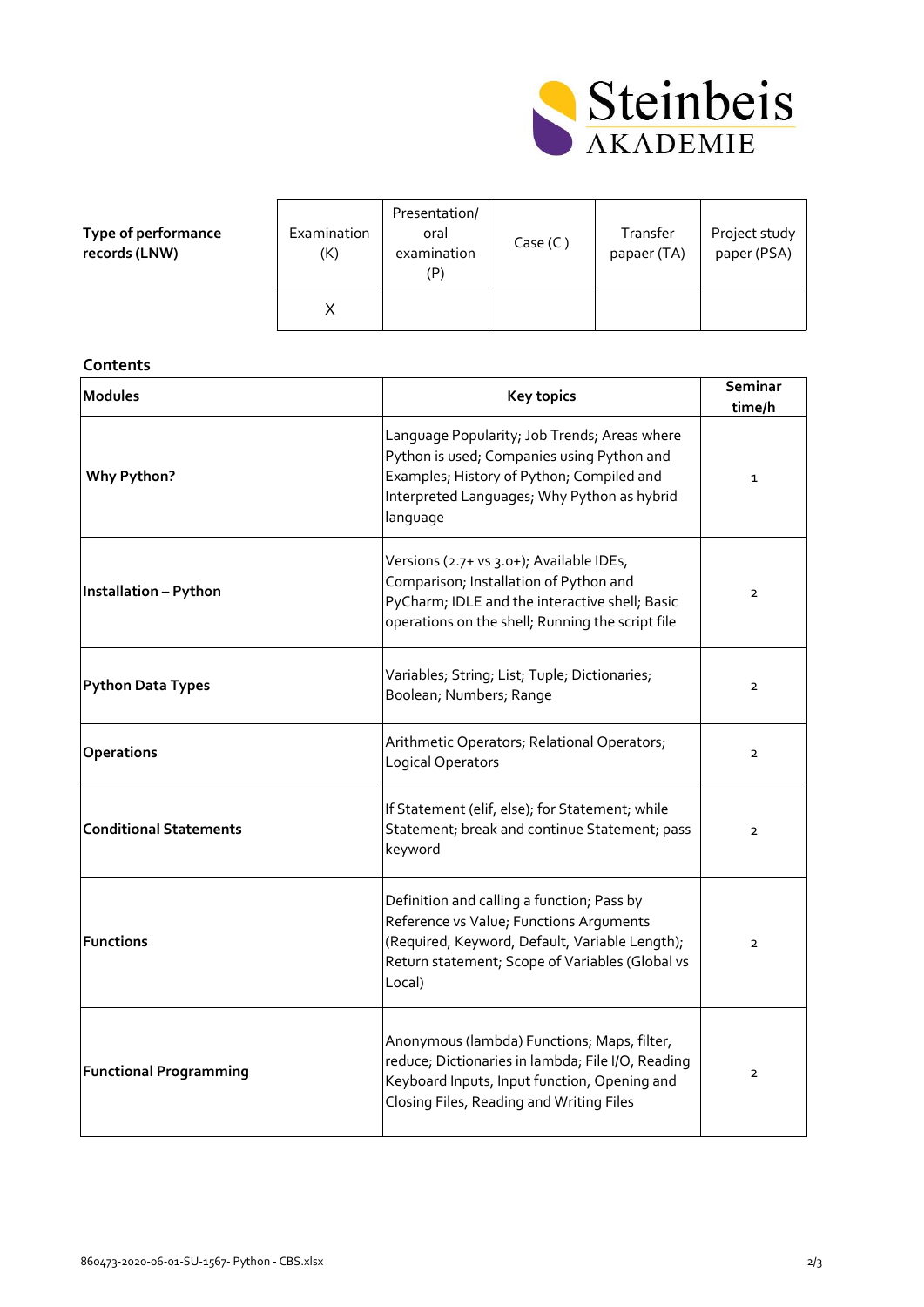

| Type of performance |
|---------------------|
| records (LNW)       |

| Examination<br>(K) | Presentation/<br>oral<br>examination<br>(P) | Case (C) | Transfer<br>papaer (TA) | Project study<br>paper (PSA) |
|--------------------|---------------------------------------------|----------|-------------------------|------------------------------|
|                    |                                             |          |                         |                              |

## **Contents**

| <b>Modules</b>                | <b>Key topics</b>                                                                                                                                                                                    | Seminar<br>time/h |
|-------------------------------|------------------------------------------------------------------------------------------------------------------------------------------------------------------------------------------------------|-------------------|
| Why Python?                   | Language Popularity; Job Trends; Areas where<br>Python is used; Companies using Python and<br>Examples; History of Python; Compiled and<br>Interpreted Languages; Why Python as hybrid<br>language   | $\mathbf{1}$      |
| Installation - Python         | Versions (2.7+ vs 3.0+); Available IDEs,<br>Comparison; Installation of Python and<br>PyCharm; IDLE and the interactive shell; Basic<br>operations on the shell; Running the script file             | $\overline{2}$    |
| <b>Python Data Types</b>      | Variables; String; List; Tuple; Dictionaries;<br>Boolean; Numbers; Range                                                                                                                             | $\overline{2}$    |
| Operations                    | Arithmetic Operators; Relational Operators;<br>Logical Operators                                                                                                                                     | $\overline{2}$    |
| <b>Conditional Statements</b> | If Statement (elif, else); for Statement; while<br>Statement; break and continue Statement; pass<br>keyword                                                                                          | $\overline{2}$    |
| <b>Functions</b>              | Definition and calling a function; Pass by<br>Reference vs Value; Functions Arguments<br>(Required, Keyword, Default, Variable Length);<br>Return statement; Scope of Variables (Global vs<br>Local) | $\overline{2}$    |
| <b>Functional Programming</b> | Anonymous (lambda) Functions; Maps, filter,<br>reduce; Dictionaries in lambda; File I/O, Reading<br>Keyboard Inputs, Input function, Opening and<br>Closing Files, Reading and Writing Files         | $\overline{2}$    |